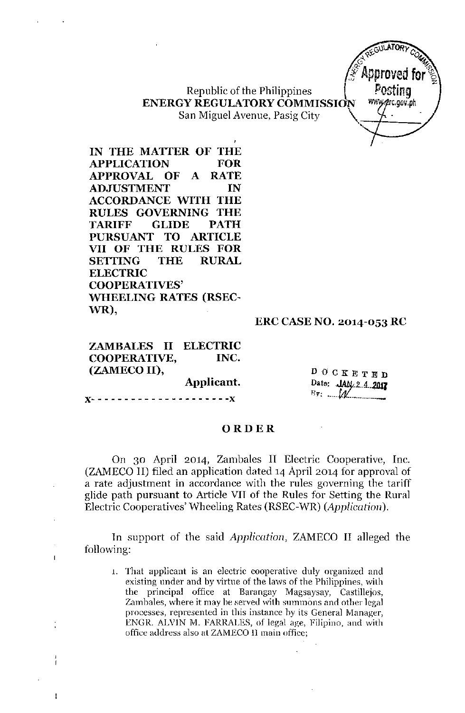EGUILATORY C  $-485$  *CO*  $\frac{1}{2}$   $\frac{1}{2}$   $\frac{1}{2}$   $\frac{1}{2}$   $\frac{1}{2}$   $\frac{1}{2}$   $\frac{1}{2}$   $\frac{1}{2}$   $\frac{1}{2}$   $\frac{1}{2}$   $\frac{1}{2}$   $\frac{1}{2}$   $\frac{1}{2}$   $\frac{1}{2}$   $\frac{1}{2}$   $\frac{1}{2}$   $\frac{1}{2}$   $\frac{1}{2}$   $\frac{1}{2}$   $\frac{1}{2}$   $\frac{1}{2}$   $\frac{1}{2}$   $\mathscr{F}$  Approved for  $\mathscr{F}$ ,

Republic of the Philippines  $\vert$  Posting ENERGY REGULATORY COMMISSION WWW.grc.gov.ph San Miguel Avenue, Pasig City

IN THE MATTER OF THE APPLICATION FOR APPROVAL OF A RATE ADJUSTMENT IN ACCORDANCE WITH THE RULES GOVERNING THE TARIFF GLIDE PATH PURSUANT TO ARTICLE VII OF THE RULES FOR SETTING THE RURAL ELECTRIC COOPERATIVES' WHEELING RATES (RSEC-WR),

#### ERC CASE NO. 2014-053 RC

ZAMBALES II COOPERATIVE, (ZAMECO II), ELECTRIC INC.

Applicant.

**,,- - - - - - - - - - - - - - - - - - - - -J(**

÷

DOCKETED Date: JAN 2.4.2017  $\mathbb{B}$ y:  $\mathcal{M}$ 

#### ORDER

On 30 April 2014, Zambales II Electric Cooperative, Inc. (ZAMECO II) filed an application dated 14 April 2014 for approval of a rate adjustment in accordance with the rules governing the tariif glide path pursuant to Article VII of the Rules for Setting the Rural Electric Cooperatives' Wheeling Rates (RSEC-WR) *(Application).*

In support of the said *Application,* ZAMECO II alleged the following:

1. That applicant is an electric cooperative duly organized and existing under and by virtue of the laws of the Philippines, with the principal office at Barangay Magsaysay, Castillejos, Zambales, where it may be served with summons and other legal proeesses, represented in this instance hy its General Manager, ENGR. ALVIN M. FARRALES, of legal age, Filipino, and with office address also at ZAMECO 11main office;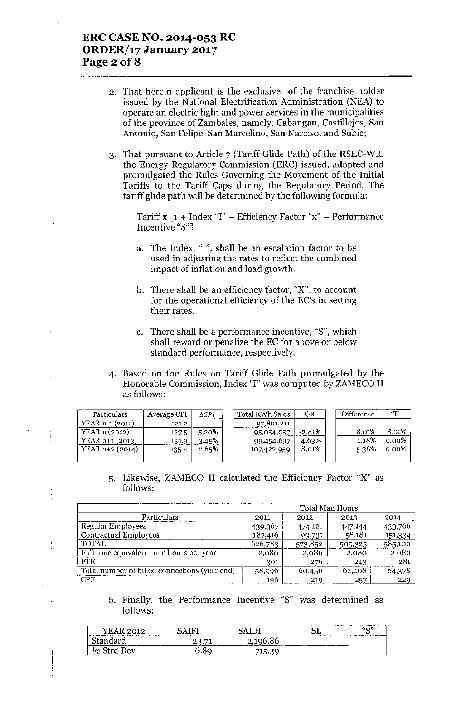#### ERC CASE NO. 2014-053 RC ORDER/17 January 2017 Page 2 of 8

j

- 2. That herein applicant is the exclusive of the franchise holder issued by the National Electrification Administration (NEA) to operate an electric light and power services in the municipalities of the province of Zambales, namely: Cabangan, Castillejos, San Antonio, San Felipe, San Marcelino, San Narciso, and Subic;
- 3. That pursuant to Article 7 (Tariff Glide Path) of the RSEC-WR, the Energy Regulatory Commission (ERC) issued, adopted and promulgated the Rules Governing the Movement of the Initial Tariffs to the Tariff Caps during the Regulatory Period. The tariff glide path will be determined by the following formula:

Tariff x  $[1 + \text{Index "I"} - \text{Efficiency Factor "x"} + \text{Performance}$ Incentive "8"]

- a. The Index, "I", shall be an escalation factor to be used in adjusting the rates to reflect the combined impact of inflation and load growth.
- b. There shall be an efficiency factor, "X", to account for the operational efficiency of the EC's in setting their rates.
- c. There shall be a performance incentive, "8", which shall reward or penalize the EC for above or below standard performance, respectively.
- 4. Based on the Rules on Tariff Glide Path promulgated by the Honorable Commission, Index "1" was computed by ZAMECO II as follows:

| Particulars       | Average CPI | ΔCPI  | Total KWh Salcs | GR       | Difference | (173)    |
|-------------------|-------------|-------|-----------------|----------|------------|----------|
| $YEAR n-1 (2011)$ | 121.2       |       | 97,801,211      |          |            |          |
| YEAR n (2012)     | 127.5       | 5.20% | 95,054,057      | $-2.81%$ | 8.01%      | 8.01%    |
| $YEAR n+1 (2013)$ | 131.9       | 3.45% | 99,454,697      | 4.63%    | $-1.18%$   | $0.00\%$ |
| YEAR $n+2$ (2014) | 135.4       | 2.65% | 107,422,959     | 8.01%    | -5.36%     | 0.00%    |
|                   |             |       |                 |          |            |          |

5. Likewise, ZAMECO II calculated the Efficiency Factor "X" as follows:

|                                               | <b>Total Man Hours</b> |         |         |                 |  |  |
|-----------------------------------------------|------------------------|---------|---------|-----------------|--|--|
| Particulars                                   | 2011                   | 2012    | 2013    | 2014            |  |  |
| Regular Employees                             | 439,367                | 474,121 | 447,144 | 433,766         |  |  |
| Contractual Employees                         | 187,416                | 99,731  | 58,181  | 151,334         |  |  |
| <b>TOTAL</b>                                  | 626,783                | 573,852 | 505,325 | 585,100         |  |  |
| Full time equivalent man hours per year       | 2,080                  | 2,080   | 2,080   | 2,080           |  |  |
| <b>FTE</b>                                    | 301                    | 276     | 243     | $\frac{1}{281}$ |  |  |
| Total number of billed connections (year end) | 58,996                 | 60,450  | 62,408  | 64,378          |  |  |
| <b>CPE</b>                                    | 196                    | 219     | 257     | 229             |  |  |

6. Finally, the Performance Incentive "8" was determined as follows:

| .<br><b>Las consumers access</b> | ,,, |                                       | . .           | 60 <sup>17</sup> |
|----------------------------------|-----|---------------------------------------|---------------|------------------|
| for some of                      | -   | $\sim$<br>- - - - -<br>------<br>---- | -------<br>__ |                  |
| تتحا                             | .   | COL TITLE<br>--                       |               |                  |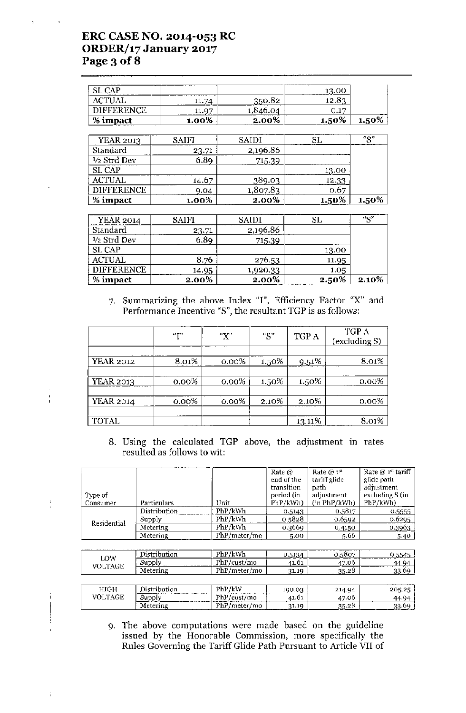# ERC CASE NO. 2014-053 RC ORDER/17 January 2017 Page 3 of 8

 $\frac{1}{1}$ 

 $\frac{1}{2}$ 

î.

 $\begin{array}{c} \n \begin{array}{c} \n \ \hline \n \ \hline \n \ \hline \n \ \hline \n \ \hline \n \ \hline \n \ \hline \n \ \hline \n \ \hline \n \ \hline \n \ \hline \n \ \hline \n \ \hline \n \ \hline \n \ \hline \n \ \hline \n \ \hline \n \ \hline \n \ \hline \n \ \hline \n \ \hline \n \ \hline \n \ \hline \n \ \hline \n \ \hline \n \ \hline \n \ \hline \n \ \hline \n \ \hline \n \ \hline \n \ \hline \n \ \hline \n \ \hline \n \ \hline$ 

Ť.

| ________          |       |            | --------------<br>13.00 |       |
|-------------------|-------|------------|-------------------------|-------|
|                   | 11. J | 350.82     | <b>. 10 Ջ^</b>          |       |
| <b>DIFFERENCE</b> | 11.97 |            | 0.17                    | ---   |
| % impact          | 1.00% | 2.00%<br>. | 1.50%                   | 1.50% |

| <b>YEAR 2013</b>  | SAIFI    | <b>SAIDI</b> |       | "Q"   |
|-------------------|----------|--------------|-------|-------|
| Standard          | 23.71    | 2,196.86     |       |       |
| $1/2$ Strd Dev    | 6.89     | 715.39       |       |       |
| SL CAP            |          |              | 13.00 |       |
| <b>ACTUAL</b>     | 14.67    | 389.03       | 12.33 |       |
| <b>DIFFERENCE</b> | 9.04     | 1,807.83     | 0.67  |       |
| % impact          | $1.00\%$ | 2.00%        | 1.50% | 1.50% |

| <b>YEAR 2014</b>  | <b>SAIFI</b> | <b>SAIDI</b> |          | "Q"   |
|-------------------|--------------|--------------|----------|-------|
| Standard          | 23.71        | 2,196.86     |          |       |
| $1/2$ Strd Dev    | 6.89         | 715.39       |          |       |
| SL CAP            |              |              | 13.00    |       |
| <b>ACTUAL</b>     | 8.76         | 276.53       | 11.95    |       |
| <b>DIFFERENCE</b> | 14.95        | 1,920.33     | 1.05     |       |
| % impact          | 2.00%        | 2.00%        | $2.50\%$ | 2.10% |

7. Summarizing the above Index "I", Efficiency Factor "X" and Performance Incentive "5", the resultant TGP is as follows:

|                  | "T"   | "X"      | "S"   | TGP A    | TGP A<br>(excluding S) |
|------------------|-------|----------|-------|----------|------------------------|
|                  |       |          |       |          |                        |
| <b>YEAR 2012</b> | 8.01% | 0.00%    | 1.50% | $9.51\%$ | 8.01%                  |
|                  |       |          |       |          |                        |
| <b>YEAR 2013</b> | 0.00% | $0.00\%$ | 1.50% | 1.50%    | 0.00%                  |
|                  |       |          |       |          |                        |
| <b>YEAR 2014</b> | 0.00% | $0.00\%$ | 2.10% | 2.10%    | $0.00\%$               |
|                  |       |          |       |          |                        |
| <b>TOTAL</b>     |       |          |       | 13.11%   | 8.01%                  |

8. Using the calculated TGP above, the adjustment in rates resulted as follows to wit:

| Type of<br>Consumer | Particulars  | Unit          | Rate $\omega$<br>end of the<br>transition<br>period (in<br>PhP/kWh) | Rate $@1st$<br>tariff glide<br>path<br>adjustment<br>(in PhP/kWh) | Rate @ 1st tariff<br>glide path<br>adjustment<br>excluding S (in<br>PhP/kWh) |
|---------------------|--------------|---------------|---------------------------------------------------------------------|-------------------------------------------------------------------|------------------------------------------------------------------------------|
|                     | Distribution | PhP/kWh       | 0.5143                                                              | 0.5817                                                            | 0.5555                                                                       |
| Residential         | Supply       | PhP/kWh       | 0.5828                                                              | 0.6592                                                            | 0.6295                                                                       |
|                     | Metering     | PhP/kWh       | 0.3669                                                              | 0.4150                                                            | 0.3963                                                                       |
|                     | Metering     | PhP/meter/mo  | 5.00                                                                | 5.66                                                              | 5.40                                                                         |
|                     |              |               |                                                                     |                                                                   |                                                                              |
| LOW                 | Distribution | PhP/kWh       | 0.5134                                                              | 0.5807                                                            | 0.5545                                                                       |
| <b>VOLTAGE</b>      | Supply       | PhP/cust/mol  | 41.61                                                               | 47.06                                                             | 44.94                                                                        |
|                     | Metering     | PhP/meter/mol | 31.19                                                               | 35.28                                                             | 33.69                                                                        |
|                     |              |               |                                                                     |                                                                   |                                                                              |
| HIGH                | Distribution | PhP/kW        | 190.03                                                              | 214.94                                                            | 205.25                                                                       |
| <b>VOLTAGE</b>      | Supply       | PhP/cust/mo   | 41.61                                                               | 47.06                                                             | 44.94                                                                        |
|                     | Metering     | PhP/meter/mo  | 31.19                                                               | 35.28                                                             | 33.69                                                                        |

9. The above computations were made based on the guideline issued by the Honorable Commission, more specifically the Rules Governing the Tariff Glide Path Pursuant to Article VII of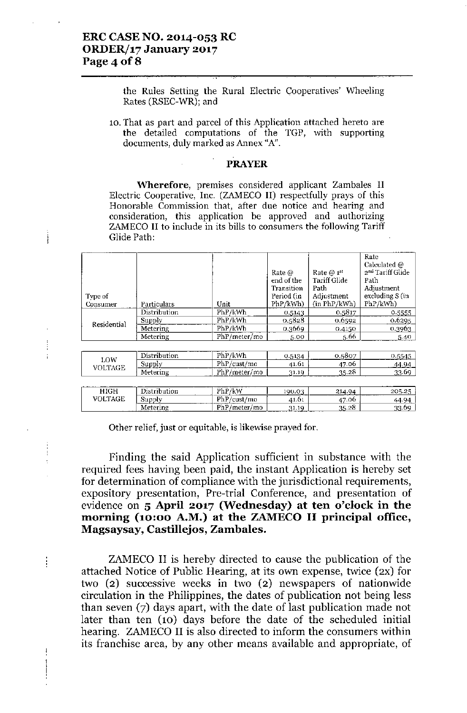Ì

 $\frac{1}{2}$ 

 $\frac{1}{2}$ 

ł

 $\frac{1}{1}$ 

the Rules Setting the Rural Electric Cooperatives' Wheeling Rates (RSEC-WR); and

10. That as part and parcel of this Application attached hereto are the detailed computations of the TGP, with supporting documents, duly marked as Annex "A".

#### PRAYER

**\Vherefore,** premises considered applicant Zambales II Electric Cooperative, Inc. (ZAMECO II) respectfully prays of this Honorable Commission that, after due notice and hearing and consideration, this application be approved and authorizing ZAMECO II to include in its bills to consumers the following Tariff Glide Path:

| Type of<br>Consumer | Particulars<br>Distribution<br>Supply | Unit<br>PhP/kWh<br>PhP/kWh | Rate $\omega$<br>end of the<br>Transition<br>Period (in<br>PhP/kWh)<br>0.5143<br>0.5828 | Rate $@1^{st}$<br>Tariff Glide<br>Path<br>Adjustment<br>(in PhP/kWh)<br>0.5817<br>0.6592 | Rate<br>Calculated $@$<br>2 <sup>nd</sup> Tariff Glide<br>Path<br>Adjustment<br>excluding S (in<br>PhP/kWh)<br>0.5555<br>0.6295 |
|---------------------|---------------------------------------|----------------------------|-----------------------------------------------------------------------------------------|------------------------------------------------------------------------------------------|---------------------------------------------------------------------------------------------------------------------------------|
| Residential         | Metering                              | PhP/kWh                    | 0.3669                                                                                  | 0.4150                                                                                   | 0.3963                                                                                                                          |
|                     | Metering                              | PhP/meter/mo               | 5.00                                                                                    | 5.66                                                                                     | 5.40                                                                                                                            |
|                     |                                       |                            |                                                                                         |                                                                                          |                                                                                                                                 |
| LOW                 | Distribution                          | PhP/kWh                    | 0.5134                                                                                  | 0.5807                                                                                   | 0.5545                                                                                                                          |
| VOLTAGE             | Supply                                | PhP/cust/mol               | 41.61                                                                                   | 47.06                                                                                    | <u>44.94  </u>                                                                                                                  |
|                     | Metering                              | PhP/meter/mo               | 31.19                                                                                   | 35.28                                                                                    | 33.69                                                                                                                           |
|                     |                                       |                            |                                                                                         |                                                                                          |                                                                                                                                 |
| <b>HIGH</b>         | Distribution                          | PhP/kW                     | 190.03                                                                                  | 214.94                                                                                   | 205.25                                                                                                                          |
| VOLTAGE             | Supply                                | PhP/cust/mol               | 41.61                                                                                   | 47.06                                                                                    | 44.94                                                                                                                           |
|                     | Metering                              | PhP/meter/mol              | 31.19                                                                                   | 35.28                                                                                    | 33.69                                                                                                                           |

Other relief, just or equitable, is likewise prayed for.

Finding the said Application sufficient in substance with the required fees having been paid, the instant Application is hereby set for determination of compliance with the jurisdictional requirements, expository presentation, Pre-trial Conference, and presentation of evidence on 5 April 2017 (Wednesday) at ten o'clock in the morning (10:00 A.M.) at the ZAMECO II principal office, Magsaysay, Castillejos, Zamhales.

ZAMECO II is hereby directed to cause the publication of the attached Notice of Public Hearing, at its own expense, twice (2X) for two (2) successive weeks in two (2) newspapers of nationwide circulation in the Philippines, the dates of publication not being less than seven (7) days apart, with the date of last publication made not later than ten (10) days before the date of the scheduled initial hearing. ZAMECO II is also directed to inform the consumers within its franchise area, by any other means available and appropriate, of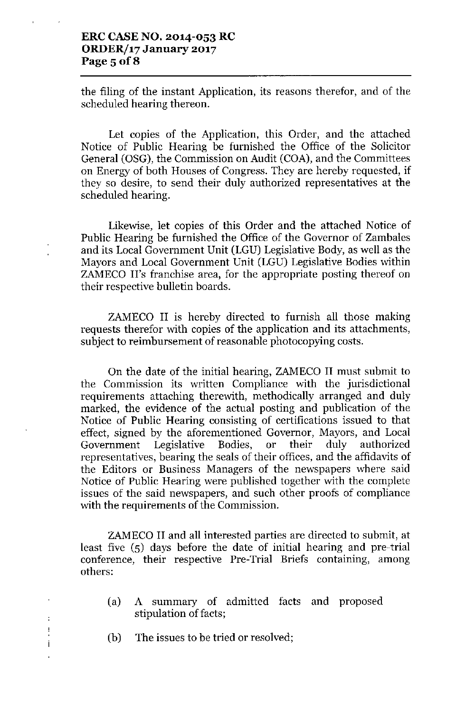#### **ERC CASE NO. 2014-053 RC ORDER/17 January 2017 Page 50fS**

the filing of the instant Application, its reasons therefor, and of the scheduled hearing thereon.

Let copies of the Application, this Order, and the attached Notice of Public Hearing be furnished the Office of the Solicitor General (OSG), the Commission on Audit (COA), and the Committees on Energy of both Houses of Congress. They are hereby requested, if they so desire, to send their duly authorized representatives at the scheduled hearing.

Likewise, let copies of this Order and the attached Notice of Public Hearing be furnished the Office of the Governor of Zambales and its Local Government Unit (LGU) Legislative Body, as well as the Mayors and Local Government Unit (LGU) Legislative Bodies within ZAMECO II's franchise area, for the appropriate posting thereof on their respective bulletin boards.

ZAMECO II is hereby directed to furnish all those making requests therefor with copies of the application and its attachments, subject to reimbursement of reasonable photocopying costs.

On the date of the initial hearing, ZAMECO II must submit to the Commission its written Compliance with the jurisdictional requirements attaching therewith, methodically arranged and duly marked, the evidence of the actual posting and publication of the Notice of Public Hearing consisting of certifications issued to that effect, signed by the aforementioned Governor, Mayors, and Local Government Legislative Bodies, or their duly authorized representatives, bearing the seals of their offices, and the affidavits of the Editors or Business Managers of the newspapers where said Notice of Public Hearing were published together with the complete issues of the said newspapers, and such other proofs of compliance with the requirements of the Commission.

ZAMECO II and all interested parties are directed to submit, at least five (5) days before the date of initial hearing and pre-trial conference, their respective Pre-Trial Briefs containing, among others:

- (a) A summary of admitted facts and proposed stipulation of facts;
- (b) The issues to be tried or resolved;

 $\ddot{\phantom{1}}$ ÷ İ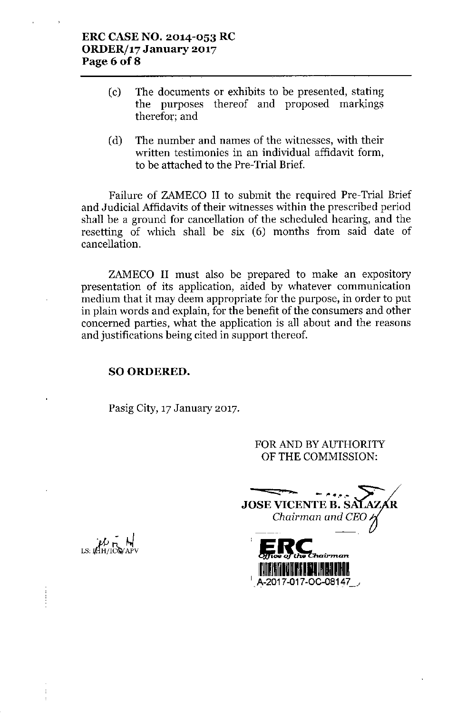#### **ERC CASE NO. 2014-053 RC ORDER/17 January 2017 Page** 6 of 8

- (c) The documents or exhibits to be presented, stating the purposes thereof and proposed markings therefor; and
- (d) The number and names of the witnesses, with their written testimonies in an individual affidavit form, to be attached to the Pre-Trial Brief.

Failure of ZAMECO II to submit the required Pre-Trial Brief and Judicial Affidavits of their witnesses within the prescribed period shall be a ground for cancellation of the scheduled hearing, and the resetting of which shall be six (6) months from said date of cancellation.

ZAMECO II must also be prepared to make an expository presentation of its application, aided by whatever communication medium that it may deem appropriate for the purpose, in order to put in plain words and explain, for the benefit of the consumers and other concerned parties, what the application is all about and the reasons and justifications being cited in support thereof.

### SO ORDERED.

Pasig City, 17 January 2017.

FOR AND BY AUTHORITY OF THE COMMISSION:

-=:::::~-,-- *-". 'II .•..•* **JOSE VICENTE B. S** *Chairman and CEO*A-2017-017-OC-08147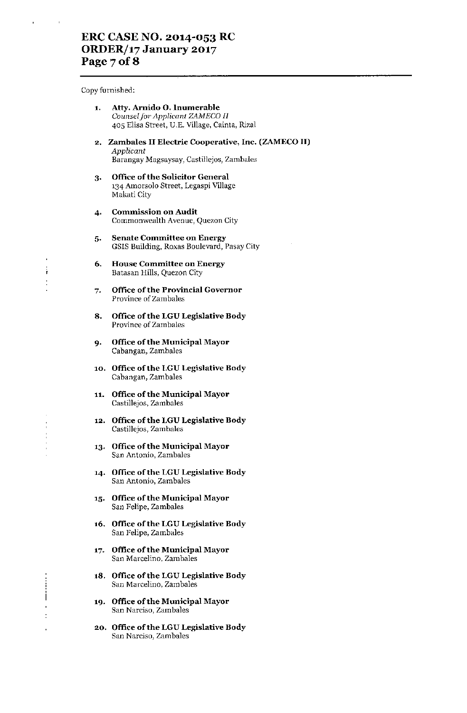## ERC CASE NO. 2014-053 RC *ORDERJ17* January 2017 Page 7 of 8

Copy furnished:

ì

Ť

| 1. | Atty. Arnido O. Inumerable                    |
|----|-----------------------------------------------|
|    | Counsel for Applicant ZAMECO II               |
|    | 405 Elisa Street, U.E. Village, Cainta, Rizal |

- **2. Zambales II Electric Cooperative, Inc. (ZAMECOII)** *Applicant* Barangay Magsaysay, Castillejos, Zambales
- **3. Office ufthe Solicitor General** 134 Amorsolo Street, Legaspi Village Makati City
- **4. Commission on Audit** Commonwealth Avenue, Quezon City
- **5. Senate Committee on Energy** GSIS Building, Roxas Boulevard, Pasay City
- **6. House Committee on Energy** Batasan Hills, Quezon City
- **7. Office of the Provincial Governor** Province of Zamhales
- **8. Office ufthe LGULegislative Body** Province of Zambales
- **9. Office ofthe Municipal Mayor** Cahangan, Zamhales
- **10. Office ufthe LGU Legislative Body** Cahangan, Zarnbales
- **11. Office ufthe Municipal Mayor** Castillejos, ZambaJes
- **12. Office** of the **l..GU Legislative Body** Castillejos, Zambales
- **13. Office ofthe Municipal Mayor** San Antonio, Zambales
- **14. Oflice** of the **LGULegislative Body** San Antonio, Zambales
- **15. Office** of the **Municipal Mayor** San Felipe, Zambales
- **16. Office** ofthe **LGU Legislative Body** San Felipe, Zamhales
- **17\_ Office** ofthe **Municipal Mayor** San Marcelino, Zambales
- **18. Office** of the **LGULegislative Body** San Marcelino, Zambales
- **19. Office ofthe Municipal Mayor** San Narciso, Zambales
- **20. Office** ofthe **LGULegislative Body** San Narciso, Zambales